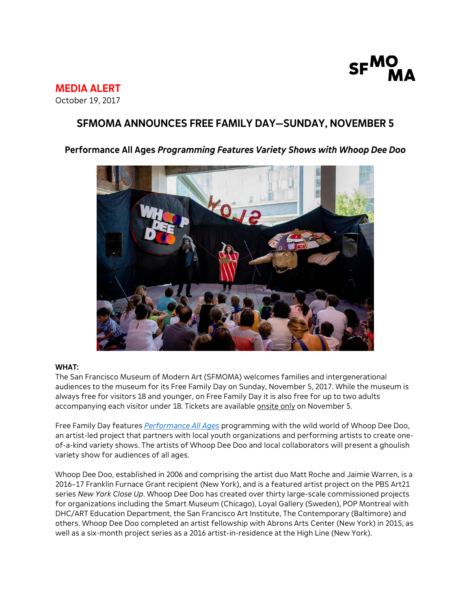

# **MEDIA ALERT** October 19, 2017

# **SFMOMA ANNOUNCES FREE FAMILY DAY—SUNDAY, NOVEMBER 5**

# **Performance All Ages** *Programming Features Variety Shows with Whoop Dee Doo*



## **WHAT:**

The San Francisco Museum of Modern Art (SFMOMA) welcomes families and intergenerational audiences to the museum for its Free Family Day on Sunday, November 5, 2017. While the museum is always free for visitors 18 and younger, on Free Family Day it is also free for up to two adults accompanying each visitor under 18. Tickets are available onsite only on November 5.

Free Family Day features *[Performance All Ages](https://www.sfmoma.org/performance-all-ages/)* programming with the wild world of Whoop Dee Doo, an artist-led project that partners with local youth organizations and performing artists to create oneof-a-kind variety shows. The artists of Whoop Dee Doo and local collaborators will present a ghoulish variety show for audiences of all ages.

Whoop Dee Doo, established in 2006 and comprising the artist duo Matt Roche and Jaimie Warren, is a 2016–17 Franklin Furnace Grant recipient (New York), and is a featured artist project on the PBS Art21 series *New York Close Up*. Whoop Dee Doo has created over thirty large-scale commissioned projects for organizations including the Smart Museum (Chicago), Loyal Gallery (Sweden), POP Montreal with DHC/ART Education Department, the San Francisco Art Institute, The Contemporary (Baltimore) and others. Whoop Dee Doo completed an artist fellowship with Abrons Arts Center (New York) in 2015, as well as a six-month project series as a 2016 artist-in-residence at the High Line (New York).